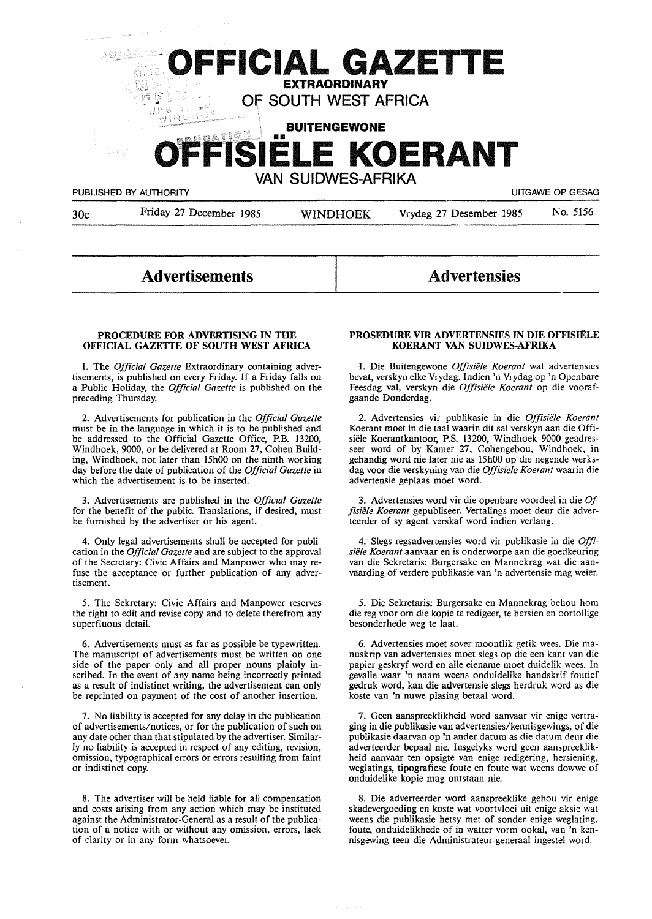

# **Advertisements**

# **Advertensies**

## **PROCEDURE FOR ADVERTISING** IN **THE OFFICIAL GAZETTE OF SOUTH WEST AFRICA**

I. The *Official Gazette* Extraordinary containing advertisements, is published on every Friday. If a Friday falls on a Public Holiday, the *Official Gazette* is published on the preceding Thursday.

2. Advertisements for publication in the *Official Gazette*  must be in the language in which it is to be published and be addressed to the Official Gazette Office, P.B. 13200, Windhoek, 9000, or be delivered at Room 27, Cohen Building, Windhoek, not later than 15h00 on the ninth working day before the date of publication of the *Official Gazette* in which the advertisement is to be inserted.

3. Advertisements are published in the *Official Gazette*  for the benefit of the public. Translations, if desired, must be furnished by the advertiser or his agent.

4. Only legal advertisements shall be accepted for publication in the *Official Gazette* and are subject to the approval of the Secretary: Civic Affairs and Manpower who may refuse the acceptance or further publication of any advertisement.

5. The Sekretary: Civic Affairs and Manpower reserves the right to edit and revise copy and to delete therefrom any superfluous detail.

6. Advertisements must as far as possible be typewritten. The manuscript of advertisements must be written on one side of the paper only and all proper nouns plainly inscribed. In the event of any name being incorrectly printed as a result of indistinct writing, the advertisement can only be reprinted on payment of the cost of another insertion.

7. No liability is accepted for any delay in the publication of advertisements/notices, or for the publication of such on any date other than that stipulated by the advertiser. Similarly no liability is accepted in respect of any editing, revision, omission, typographical errors or errors resulting from faint or indistinct copy.

8. The advertiser will be held liable for all compensation and costs arising from any action which may be instituted against the Administrator-General as a result of the publication of a notice with or without any omission, errors, lack of clarity or in any form whatsoever.

## **PROSEDURE VIR ADVERTENSIES IN DIE OFFISIELE KOERANT VAN SUIDWES-AFRIKA**

l. Die Buitengewone *Offisiele Koerant* wat advertensies bevat, verskyn elke Vrydag. Indien 'n Vrydag op 'n Openbare Feesdag val, verskyn die *Offisiele Koerant* op die voorafgaande Donderdag.

2. Advertensies vir publikasie in die *Offisiele Koerant*  Koerant moet in die taal waarin dit sal verskyn aan die Offisiele Koerantkantoor, P.S. 13200, Windhoek 9000 geadresseer word of by Kamer 27, Cohengebou, Windhoek, in gehandig word nie later nie as 15h00 op die negende werksdag voor die verskyning van die *Offisiele Koerant* waarin die advertensie geplaas moet word.

3. Advertensies word vir die openbare voordeel in die *Offisiele Koerant* gepubliseer. Vertalings moet deur die adverteerder of sy agent verskaf word indien verlang.

4. Slegs regsadvertensies word vir publikasie in die *Offisiele Koerant* aanvaar en is onderworpe aan die goedkeuring van die Sekretaris: Burgersake en Mannekrag wat die aanvaarding of verdere publikasie van 'n advertensie mag weier.

5. Die Sekretaris: Burgersake en Mannekrag behou horn die reg voor om die kopie te redigeer, te hersien en oortollige besonderhede weg te laat.

6. Advertensies moet sover moontlik getik wees. Die manuskrip van advertensies moet slegs op die een kant van die papier geskryf word en alle eiename moet duidelik wees. In gevalle waar 'n naam weens onduidelike handskrif foutief gedruk word, kan die advertensie slegs herdruk word as die koste van 'n nuwe plasing betaal word.

7. Geen aanspreeklikheid word aanvaar vir enige vertraging in die publikasie van advertensies/kennisgewings, of die publikasie daarvan op 'n ander datum as die datum deur die adverteerder bepaal nie. Insgelyks word geen aanspreeklikheid aanvaar ten opsigte van enige redigering, hersiening, weglatings, tipografiese foute en foute wat weens dowwe of onduidelike kopie mag ontstaan nie.

8. Die adverteerder word aanspreeklike gehou vir enige skadevergoeding en koste wat voortvloei uit enige aksie wat weens die publikasie hetsy met of sonder enige weglating, foute, onduidelikhede of in watter vorm ookal, van 'n kennisgewing teen die Administrateur-generaal ingestel word.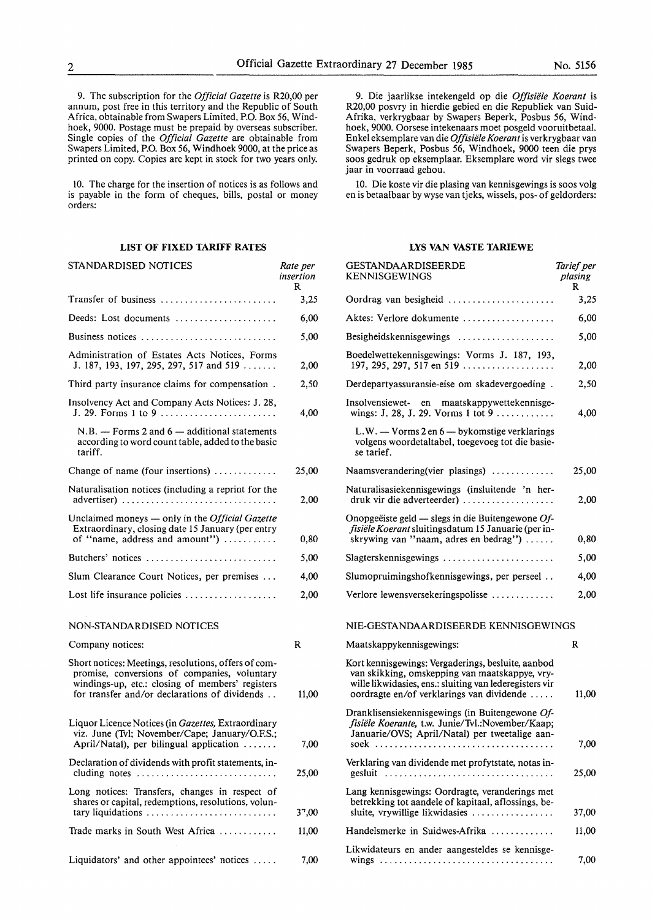9. The subscription for the *Official Gazette* is R20,00 per annum, post free in this territory and the Republic of South Africa, obtainable from Swapers Limited, P.O. Box 56, Windhoek, 9000. Postage must be prepaid by overseas subscriber. Single copies of the *Official Gazette* are obtainable from Swapers Limited, P.O. Box 56, Windhoek 9000, at the price as printed on copy. Copies are kept in stock for two years only.

10. The charge for the insertion of notices is as follows and is payable in the form of cheques, bills, postal or money orders:

# **LIST OF FIXED TARIFF RATES**

*Rate per* 

STANDARDISED NOTICES

| SIANDARDISED NOTICES                                                                                                                                                                                      | kate per<br>insertion<br>R |
|-----------------------------------------------------------------------------------------------------------------------------------------------------------------------------------------------------------|----------------------------|
| Transfer of business                                                                                                                                                                                      | 3,25                       |
| Deeds: Lost documents                                                                                                                                                                                     | 6,00                       |
| Business notices                                                                                                                                                                                          | 5,00                       |
| Administration of Estates Acts Notices, Forms<br>J. 187, 193, 197, 295, 297, 517 and 519                                                                                                                  | 2,00                       |
| Third party insurance claims for compensation.                                                                                                                                                            | 2,50                       |
| Insolvency Act and Company Acts Notices: J. 28,                                                                                                                                                           | 4.00                       |
| $N.B. -$ Forms 2 and 6 - additional statements<br>according to word count table, added to the basic<br>tariff.                                                                                            |                            |
| Change of name (four insertions) $\dots\dots\dots\dots$                                                                                                                                                   | 25,00                      |
| Naturalisation notices (including a reprint for the<br>advertiser)                                                                                                                                        | 2,00                       |
| Unclaimed moneys - only in the Official Gazette<br>Extraordinary, closing date 15 January (per entry<br>of "name, address and amount")                                                                    | 0,80                       |
| Butchers' notices                                                                                                                                                                                         | 5,00                       |
| Slum Clearance Court Notices, per premises                                                                                                                                                                | 4,00                       |
| Lost life insurance policies                                                                                                                                                                              | 2,00                       |
| NON-STANDARDISED NOTICES                                                                                                                                                                                  |                            |
| Company notices:                                                                                                                                                                                          | R                          |
| Short notices: Meetings, resolutions, offers of com-<br>promise, conversions of companies, voluntary<br>windings-up, etc.: closing of members' registers<br>for transfer and/or declarations of dividends | 11,00                      |
| Liquor Licence Notices (in Gazettes, Extraordinary<br>viz. June (Tvl; November/Cape; January/O.F.S.;<br>April/Natal), per bilingual application                                                           | 7,00                       |
| Declaration of dividends with profit statements, in-<br>cluding notes $\dots\dots\dots\dots\dots$                                                                                                         | 25,00                      |
| Long notices: Transfers, changes in respect of<br>shares or capital, redemptions, resolutions, volun-<br>tary liquidations                                                                                | 37,00                      |
| Trade marks in South West Africa                                                                                                                                                                          | 11,00                      |
|                                                                                                                                                                                                           |                            |
| Liquidators' and other appointees' notices                                                                                                                                                                | 7,00                       |

9. Die jaarlikse intekengeld op die *Offisiele Koerant* is R20,00 posvry in hierdie gebied en die Republiek van Suid-Afrika, verkrygbaar by Swapers Beperk, Posbus 56, Windhoek, 9000. Oorsese intekenaars moet posgeld vooruitbetaal. Enke! eksemplare van die *Offisiele Koerant* is verkrygbaar van Swapers Beperk, Posbus 56, Windhoek, 9000 teen die prys soos gedruk op eksemplaar. Eksemplare word vir slegs twee jaar in voorraad gehou.

10. Die koste vir die plasing van kennisgewings is soos volg en is betaalbaar by wyse van tjeks, wissels, pos- of geldorders:

# **LYS VAN VASTE TARIEWE**

| GESTANDAARDISEERDE<br><b>KENNISGEWINGS</b>                                                                                                                                                                   | Tarief per<br>plasing<br>R |
|--------------------------------------------------------------------------------------------------------------------------------------------------------------------------------------------------------------|----------------------------|
| Oordrag van besigheid                                                                                                                                                                                        | 3,25                       |
| Aktes: Verlore dokumente                                                                                                                                                                                     | 6,00                       |
| Besigheidskennisgewings                                                                                                                                                                                      | 5,00                       |
| Boedelwettekennisgewings: Vorms J. 187, 193,<br>197, 295, 297, 517 en 519                                                                                                                                    | 2,00                       |
| Derdepartyassuransie-eise om skadevergoeding.                                                                                                                                                                | 2,50                       |
| Insolvensiewet- en maatskappywettekennisge-<br>wings: J. 28, J. 29. Vorms 1 tot 9                                                                                                                            | 4,00                       |
| L.W. - Vorms 2 en 6 - bykomstige verklarings<br>volgens woordetaltabel, toegevoeg tot die basie-<br>se tarief.                                                                                               |                            |
| Naamsverandering(vier plasings)                                                                                                                                                                              | 25,00                      |
| Naturalisasiekennisgewings (insluitende 'n her-<br>druk vir die adverteerder)                                                                                                                                | 2,00                       |
| Onopgeëiste geld — slegs in die Buitengewone Of-<br>fisiële Koerant sluitingsdatum 15 Januarie (per in-<br>skrywing van "naam, adres en bedrag")                                                             | 0,80                       |
| Slagterskennisgewings                                                                                                                                                                                        | 5,00                       |
| Slumopruimingshofkennisgewings, per perseel                                                                                                                                                                  | 4,00                       |
| Verlore lewensversekeringspolisse                                                                                                                                                                            | 2,00                       |
| NIE-GESTANDAARDISEERDE KENNISGEWINGS                                                                                                                                                                         |                            |
| Maatskappykennisgewings:                                                                                                                                                                                     | R                          |
| Kort kennisgewings: Vergaderings, besluite, aanbod<br>van skikking, omskepping van maatskappye, vry-<br>wille likwidasies, ens.: sluiting van lederegisters vir<br>oordragte en/of verklarings van dividende | 11,00                      |
| Dranklisensiekennisgewings (in Buitengewone Of-<br>fisiële Koerante, t.w. Junie/Tvl.:November/Kaap;<br>Januarie/OVS; April/Natal) per tweetalige aan-<br>soek                                                | 7.00                       |
| Verklaring van dividende met profytstate, notas in-<br>gesluit                                                                                                                                               | 25,00                      |
| Lang kennisgewings: Oordragte, veranderings met<br>betrekking tot aandele of kapitaal, aflossings, be-<br>sluite, vrywillige likwidasies                                                                     | 37,00                      |
| Handelsmerke in Suidwes-Afrika                                                                                                                                                                               | 11,00                      |
| Likwidateurs en ander aangesteldes se kennisge-                                                                                                                                                              |                            |
|                                                                                                                                                                                                              | 7,00                       |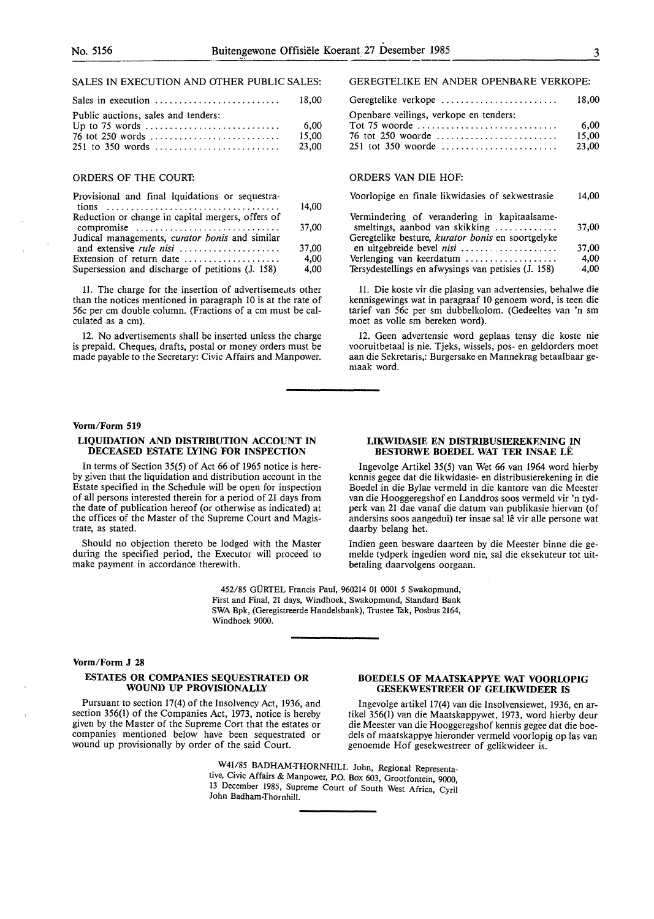# SALES IN EXECUTION AND OTHER PUBLIC SALES:

| Sales in execution                  | 18.00 |
|-------------------------------------|-------|
| Public auctions, sales and tenders: |       |
|                                     | -6.00 |
|                                     | 15.00 |
|                                     | 23.00 |

# ORDERS OF THE COURT:

| Provisional and final lquidations or sequestra-           |       |
|-----------------------------------------------------------|-------|
|                                                           | 14,00 |
| Reduction or change in capital mergers, offers of         |       |
| compromise                                                | 37,00 |
| Judical managements, <i>curator bonis</i> and similar     |       |
| and extensive <i>rule nisi</i>                            | 37,00 |
| Extension of return date $\dots\dots\dots\dots\dots\dots$ | 4.00  |
| Supersession and discharge of petitions (J. 158)          | 4,00  |
|                                                           |       |

11. The charge for the insertion of advertiseme,1ts other than the notices mentioned in paragraph 10 is at the rate of 56c per cm double column. (Fractions of a cm must be calculated as a cm).

12. No advertisements shall be inserted unless the charge is prepaid. Cheques, drafts, postal or money orders must be made payable to the Secretary: Civic Affairs and Manpower.

## **Vorm/Form 519**

#### **LIQUIDATION AND DISTRIBUTION ACCOUNT IN DECEASED ESTATE LYING FOR INSPECTION**

In terms of Section 35(5) of Act 66 of 1965 notice is hereby given that the liquidation and distribution account in the Estate specified in the Schedule will be open for inspection of all persons interested therein for a period of 21 days from the date of publication hereof (or otherwise as indicated) at the offices of the Master of the Supreme Court and Magistrate, as stated.

Should no objection thereto be lodged with the Master during the specified period, the Executor will proceed to make payment in accordance therewith.

> 452/85 GURTEL Francis Paul, 960214 01 0001 *5* Swakopmund, First and Final, 21 days, Windhoek, Swakopmund, Standard Bank SWA Bpk, (Geregistreerde Handelsbank), Trustee Tak, Posbus 2164, Windhoek 9000.

#### **Vorm/Form J 28**

## **ESTATES OR COMPANIES SEQUESTRATED OR WOUND UP PROVISIONALLY**

Pursuant to section 17(4) of the Insolvency Act, 1936, and section 356(1) of the Companies Act, 1973, notice is hereby given by the Master of the Supreme Cort that the estates or companies mentioned below have been sequestrated or wound up provisionally by order of the said Court.

# GEREGTELIKE EN ANDER OPENBARE VERKOPE:

| Geregtelike verkope                    | 18.00 |
|----------------------------------------|-------|
| Openbare veilings, verkope en tenders: |       |
|                                        | 6.00  |
|                                        | 15.00 |
| 251 tot 350 woorde                     | 23.00 |
|                                        |       |

#### ORDERS VAN DIE HOF:

| Voorlopige en finale likwidasies of sekwestrasie                               | 14.00 |
|--------------------------------------------------------------------------------|-------|
| Vermindering of verandering in kapitaalsame-<br>smeltings, aanbod van skikking | 37,00 |
| Geregtelike besture, <i>kurator bonis</i> en soortgelyke                       |       |
| en uitgebreide bevel nisi                                                      | 37.00 |
| Verlenging van keerdatum $\dots\dots\dots\dots\dots\dots$                      | 4.00  |
| Tersydestellings en afwysings van petisies (J. 158)                            | 4.00  |

11. Die koste vir die plasing van advertensies, behalwe die kennisgewings wat in paragraaf IO genoem word, is teen die tarief van 56c per sm dubbelkolom. (Gedeeltes van 'n sm moet as voile sm bereken word).

12. Geen advertensie word geplaas tensy die koste nie vooruitbetaal is nie. Tjeks, wissels, pos- en geldorders moet aan die Sekretaris,: Burgersake en Mannekrag betaalbaar gemaak word.

#### **LIKWIDASIE EN DISTRIBUSIEREKENING IN BESTORWE BOEDEL WAT TER INSAE LE**

Ingevolge Artikel 35(5) van Wet 66 van 1964 word hierby kennis gegee dat die likwidasie- en distribusierekening in die Boedel in die Bylae vermeld in die kantore van die Meester van die Hooggeregshof en Landdros soos vermeld vir 'n tydperk van 21 dae vanaf die datum van publikasie hiervan (of andersins soos aangedui) ter insae sal lê vir alle persone wat daarby belang het.

Indien geen besware daarteen by die Meester binne die gemelde tydperk ingedien word nie, sal die eksekuteur tot uitbetaling daarvolgens oorgaan.

## **BOEDELS OF MAATSKAPPYE WAT VOORLOPIG GESEKWESTREER OF GELIKWIDEER IS**

Ingevolge artikel 17(4) van die Insolvensiewet, 1936, en artikel 356(1) van die Maatskappywet, 1973, word hierby deur die Meester van die Hooggeregshof kennis gegee dat die boedels of maatskappye hieronder vermeld voorlopig op las van genoemde Hof gesekwestreer of gelikwideer is.

W41/85 BADHAM-THORNHILL John, Regional Representative, Civic Affairs & Manpower, P.O. Box 603, Grootfontein, 9000, 13 December 1985, Supreme Court of South West Africa, Cyril John Badham-Thornhill.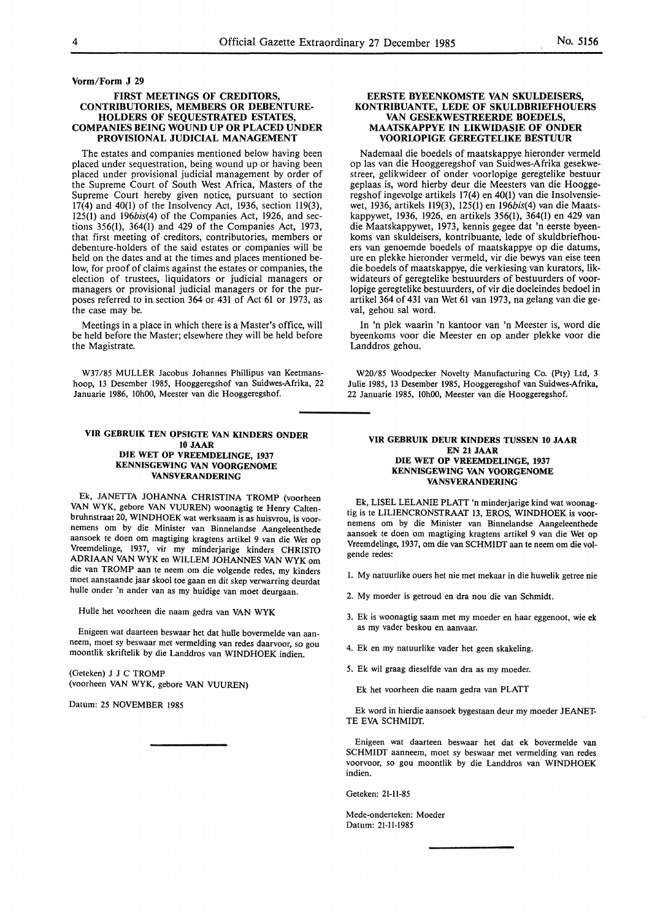#### **FIRST MEETINGS OF CREDITORS, CONTRIBUTORIES, MEMBERS OR DEBENTURE-HOLDERS OF SEQUESTRATED ESTATES, COMPANIES BEING WOUND UP OR PLACED UNDER PROVISIONAL JUDICIAL MANAGEMENT**

The estates and companies mentioned below having been placed under sequestration, being wound up or having been placed under provisional judicial management by order of the Supreme Court of South West Africa, Masters of the Supreme Court hereby given notice, pursuant to section 17(4) and 40(1) of the Insolvency Act, 1936, section 119(3),  $125(1)$  and  $196bis(4)$  of the Companies Act, 1926, and sections 356(1), 364(1) and 429 of the Companies Act, 1973, that first meeting of creditors, contributories, members or debenture-holders of the said estates or companies will be held on the dates and at the times and places mentioned below, for proof of claims against the estates or companies, the election of trustees, liquidators or judicial managers or managers or provisional judicial managers or for the purposes referred to in section 364 or 431 of Act 61 or 1973, as the case may be.

Meetings in a place in which there is a Master's office, will be held before the Master; elsewhere they will be held before the Magistrate.

W37 /85 MULLER Jacobus Johannes Phillipus van Keetmanshoop, 13 Descmber 1985, Hooggeregshof van Suidwes-Afrika, 22 Januarie 1986, 10h00, Meester van die Hooggeregshof.

#### **VIR GEBRUIK TEN OPSIGTE VAN KINDERS ONDER 10 JAAR DIE WET OP VREEMDELINGE, 1937 KENNISGEWING VAN VOORGENOME VANSVERANDERING**

Ek, JANETTA JOHANNA CHRISTINA TROMP (voorheen VAN WYK, gebore VAN VUUREN) woonagtig te Henry Caltenbruhnstraat 20, WINDHOEK wat werksaam is as huisvrou, is voornemens om by die Minister van Binnelandse Aangeleenthede aansoek te doen om magtiging kragtens artikel 9 van die Wet op Vreemdelinge, 1937, vir my minderjarige kinders CHRISTO ADRIAAN VANWYK en WILLEM JOHANNES VANWYK om die van TROMP aan te neem om die volgende redes, my kinders moet aanstaande jaar skool toe gaan en dit skep verwarring deurdat hulle onder 'n ander van as my huidige van moet deurgaan.

Hulle het voorheen die naam gedra van **VAN WYK** 

Enigeen wat daarteen beswaar het dat hulle bovermelde van aanneem, moet sy beswaar met vermelding van redes daarvoor, so gou moontlik skriftelik by die Landdros van WINDHOEK indien.

(Geteken) J J C TROMP (voorheen VAN WYK, gebore VAN VUUREN)

Datum: 25 NOVEMBER 1985

#### **EERSTE BYEENKOMSTE VAN SKULDEISERS, KONTRIBUANTE, LEDE OF SKULDBRIEFHOUERS VAN GESEKWESTREERDE BOEDELS, MAATSKAPPYE IN LIKWIDASIE OF ONDER VOORLOPIGE GEREGTELIKE BESTUUR**

Nademaal die boedels of maatskappye hieronder vermeld op las van die Hooggeregshof van Suidwes-Afrika gesekwestreer, gelikwideer of onder voorlopige geregtelike bestuur geplaas is, word hierby deur die Meesters van die Hooggeregshof ingevolge artikels 17(4) en 40(1) van die Insolvensiewet, 1936, artikels 119(3), 125(1) en 196bis(4) van die Maatskappywet, 1936, 1926, en artikels 356(1), 364(1) en 429 van die Maatskappywet, 1973, kennis gegee dat 'n eerste byeenkoms van skuldeisers, kontribuante, lede of skuldbriefhouers van genoemde boedels of maatskappye op die datums, ure en piekke hieronder vermeld, vir die bewys van eise teen die boedels of maatskappye, die verkiesing van kurators, likwidateurs of geregtelike bestuurders of bestuurders of voorlopige geregtelike bestuurders, of vir die doeleindes bedoel in artikel 364 of 431 van Wet 61 van 1973, na gelang van die geval, gehou sal word.

In 'n plek waarin 'n kantoor van 'n Meester is, word die byeenkoms voor die Meester en op ander plekke voor die Landdros gehou.

W20/85 Woodpecker Novelty Manufacturing Co. (Pty) Ltd, 3 Julie 1985, 13 Desember 1985, Hooggeregshof van Suidwes-Afrika, 22 Januarie 1985, 10h00, Meester van die Hooggeregshof.

#### **VIR GEBRUIK DEUR KINDERS TUSSEN 10 JAAR EN 21 JAAR DIE WET OP VREEMDELINGE,** 1937 **KENNISGEWING VAN VOORGENOME VANSVERANDERING**

Ek, LISEL LELANIE PLATT 'n minderjarige kind wat woonagtig is te LILIENCRONSTRAAT 13, EROS, WINDHOEK is voornemens om by die Minister van Binnelandse Aangeleenthede aansoek te doen om magtiging kragtens artikel 9 van die Wet op Vreemdelinge, 1937, om die van SCHMIDT aan te neem om die volgende redes:

- l. My natuurlike ouers het nie met mekaar in die huwelik getree nie
- 2. My moeder is getroud en dra nou die van Schmidt.
- 3. Ek is woonagtig saam met my moeder en haar eggenoot, wie **ek**  as my vader beskou en aanvaar.
- 4. Ek en my natuurlike vader het geen skakeling.
- 5. Ek wil graag dieselfde van dra as my moeder.

Ek het voorheen die naam gedra van PLATT

Ek word in hierdie aansoek bygestaan deur my moeder JEANET-TE EVA SCHMIDT.

Enigeen wat daarteen beswaar het dat ek bovermelde van SCHMIDT aanneem, moet sy beswaar met vermelding van redes voorvoor, so gou moontlik by die Landdros van WINDHOEK indien.

Geteken: 21-11-85

Mede-onderteken: Moeder Datum: 21-11-1985